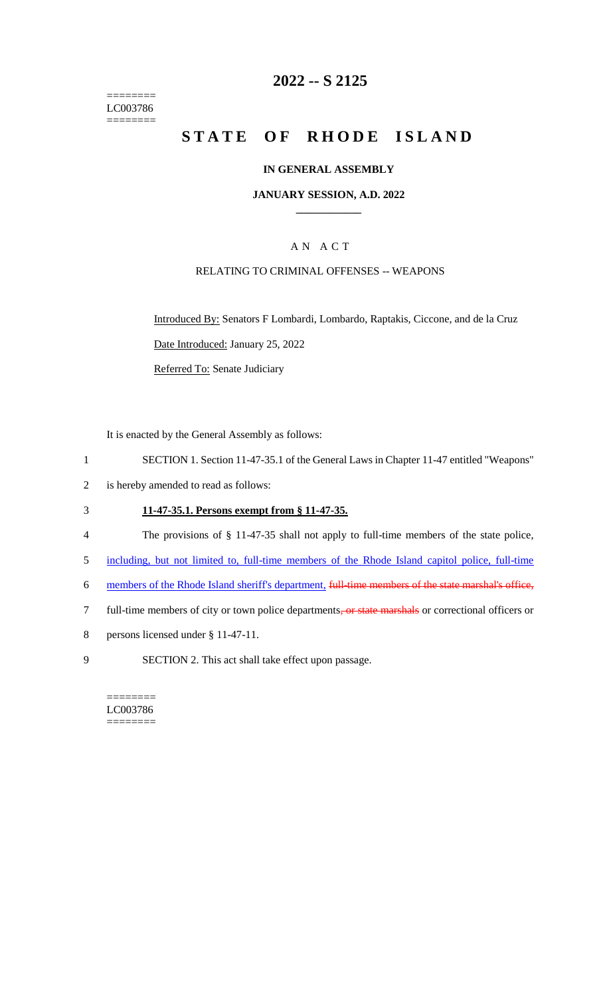======== LC003786 ========

## **2022 -- S 2125**

# **STATE OF RHODE ISLAND**

#### **IN GENERAL ASSEMBLY**

#### **JANUARY SESSION, A.D. 2022 \_\_\_\_\_\_\_\_\_\_\_\_**

## A N A C T

### RELATING TO CRIMINAL OFFENSES -- WEAPONS

Introduced By: Senators F Lombardi, Lombardo, Raptakis, Ciccone, and de la Cruz Date Introduced: January 25, 2022

Referred To: Senate Judiciary

It is enacted by the General Assembly as follows:

- 1 SECTION 1. Section 11-47-35.1 of the General Laws in Chapter 11-47 entitled "Weapons"
- 2 is hereby amended to read as follows:

## 3 **11-47-35.1. Persons exempt from § 11-47-35.**

- 4 The provisions of § 11-47-35 shall not apply to full-time members of the state police,
- 5 including, but not limited to, full-time members of the Rhode Island capitol police, full-time
- 6 members of the Rhode Island sheriff's department, full-time members of the state marshal's office,
- 7 full-time members of city or town police departments, or state marshals or correctional officers or
- 8 persons licensed under § 11-47-11.
- 9 SECTION 2. This act shall take effect upon passage.

======== LC003786 ========